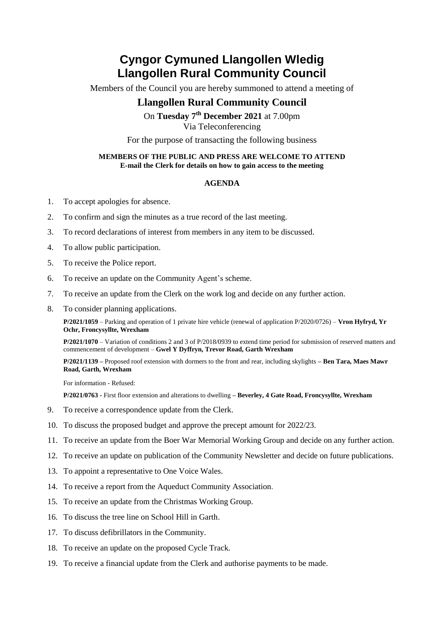## **Cyngor Cymuned Llangollen Wledig Llangollen Rural Community Council**

Members of the Council you are hereby summoned to attend a meeting of

## **Llangollen Rural Community Council**

On **Tuesday 7 th December 2021** at 7.00pm Via Teleconferencing

For the purpose of transacting the following business

## **MEMBERS OF THE PUBLIC AND PRESS ARE WELCOME TO ATTEND E-mail the Clerk for details on how to gain access to the meeting**

## **AGENDA**

- 1. To accept apologies for absence.
- 2. To confirm and sign the minutes as a true record of the last meeting.
- 3. To record declarations of interest from members in any item to be discussed.
- 4. To allow public participation.
- 5. To receive the Police report.
- 6. To receive an update on the Community Agent's scheme.
- 7. To receive an update from the Clerk on the work log and decide on any further action.
- 8. To consider planning applications.

**P/2021/1059** – Parking and operation of 1 private hire vehicle (renewal of application P/2020/0726) – **Vron Hyfryd, Yr Ochr, Froncysyllte, Wrexham**

**P/2021/1070** – Variation of conditions 2 and 3 of P/2018/0939 to extend time period for submission of reserved matters and commencement of development – **Gwel Y Dyffryn, Trevor Road, Garth Wrexham**

**P/2021/1139 –** Proposed roof extension with dormers to the front and rear, including skylights **– Ben Tara, Maes Mawr Road, Garth, Wrexham**

For information - Refused:

**P/2021/0763 -** First floor extension and alterations to dwelling **– Beverley, 4 Gate Road, Froncysyllte, Wrexham**

- 9. To receive a correspondence update from the Clerk.
- 10. To discuss the proposed budget and approve the precept amount for 2022/23.
- 11. To receive an update from the Boer War Memorial Working Group and decide on any further action.
- 12. To receive an update on publication of the Community Newsletter and decide on future publications.
- 13. To appoint a representative to One Voice Wales.
- 14. To receive a report from the Aqueduct Community Association.
- 15. To receive an update from the Christmas Working Group.
- 16. To discuss the tree line on School Hill in Garth.
- 17. To discuss defibrillators in the Community.
- 18. To receive an update on the proposed Cycle Track.
- 19. To receive a financial update from the Clerk and authorise payments to be made.